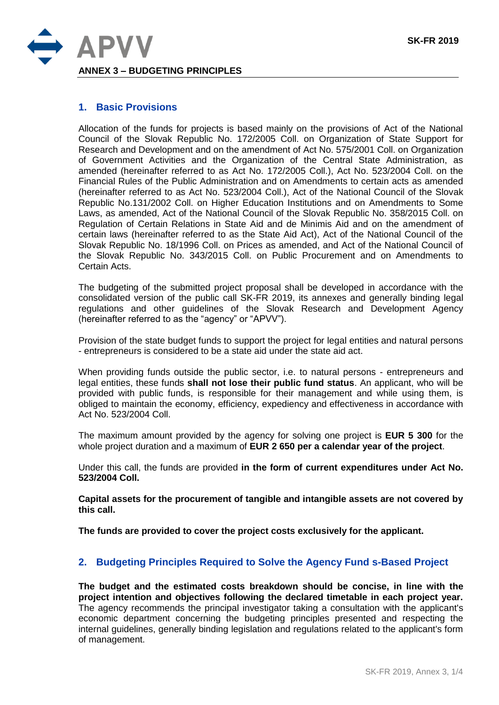

## **1. Basic Provisions**

Allocation of the funds for projects is based mainly on the provisions of Act of the National Council of the Slovak Republic No. 172/2005 Coll. on Organization of State Support for Research and Development and on the amendment of Act No. 575/2001 Coll. on Organization of Government Activities and the Organization of the Central State Administration, as amended (hereinafter referred to as Act No. 172/2005 Coll.), Act No. 523/2004 Coll. on the Financial Rules of the Public Administration and on Amendments to certain acts as amended (hereinafter referred to as Act No. 523/2004 Coll.), Act of the National Council of the Slovak Republic No.131/2002 Coll. on Higher Education Institutions and on Amendments to Some Laws, as amended, Act of the National Council of the Slovak Republic No. 358/2015 Coll. on Regulation of Certain Relations in State Aid and de Minimis Aid and on the amendment of certain laws (hereinafter referred to as the State Aid Act), Act of the National Council of the Slovak Republic No. 18/1996 Coll. on Prices as amended, and Act of the National Council of the Slovak Republic No. 343/2015 Coll. on Public Procurement and on Amendments to Certain Acts.

The budgeting of the submitted project proposal shall be developed in accordance with the consolidated version of the public call SK-FR 2019, its annexes and generally binding legal regulations and other guidelines of the Slovak Research and Development Agency (hereinafter referred to as the "agency" or "APVV").

Provision of the state budget funds to support the project for legal entities and natural persons - entrepreneurs is considered to be a state aid under the state aid act.

When providing funds outside the public sector, i.e. to natural persons - entrepreneurs and legal entities, these funds **shall not lose their public fund status**. An applicant, who will be provided with public funds, is responsible for their management and while using them, is obliged to maintain the economy, efficiency, expediency and effectiveness in accordance with Act No. 523/2004 Coll.

The maximum amount provided by the agency for solving one project is **EUR 5 300** for the whole project duration and a maximum of **EUR 2 650 per a calendar year of the project**.

Under this call, the funds are provided **in the form of current expenditures under Act No. 523/2004 Coll.**

**Capital assets for the procurement of tangible and intangible assets are not covered by this call.**

**The funds are provided to cover the project costs exclusively for the applicant.**

### **2. Budgeting Principles Required to Solve the Agency Fund s-Based Project**

**The budget and the estimated costs breakdown should be concise, in line with the project intention and objectives following the declared timetable in each project year.** The agency recommends the principal investigator taking a consultation with the applicant's economic department concerning the budgeting principles presented and respecting the internal guidelines, generally binding legislation and regulations related to the applicant's form of management.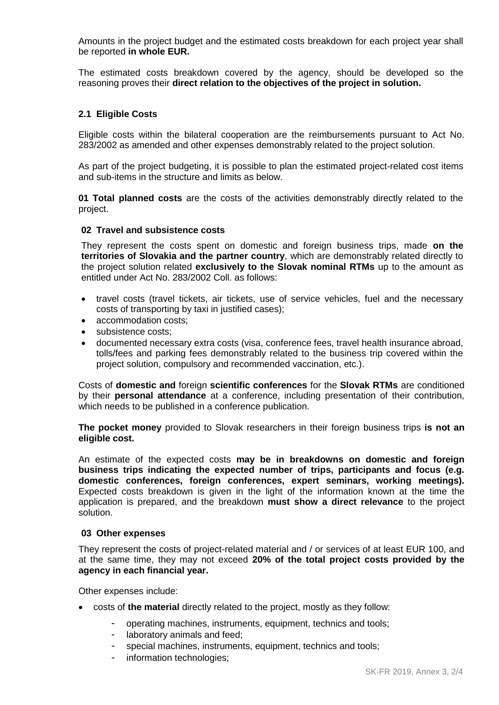Amounts in the project budget and the estimated costs breakdown for each project year shall be reported **in whole EUR.** 

The estimated costs breakdown covered by the agency, should be developed so the reasoning proves their **direct relation to the objectives of the project in solution.**

### **2.1 Eligible Costs**

Eligible costs within the bilateral cooperation are the reimbursements pursuant to Act No. 283/2002 as amended and other expenses demonstrably related to the project solution.

As part of the project budgeting, it is possible to plan the estimated project-related cost items and sub-items in the structure and limits as below.

**01 Total planned costs** are the costs of the activities demonstrably directly related to the project.

#### **02 Travel and subsistence costs**

They represent the costs spent on domestic and foreign business trips, made **on the territories of Slovakia and the partner country**, which are demonstrably related directly to the project solution related **exclusively to the Slovak nominal RTMs** up to the amount as entitled under Act No. 283/2002 Coll. as follows:

- travel costs (travel tickets, air tickets, use of service vehicles, fuel and the necessary costs of transporting by taxi in justified cases);
- accommodation costs;
- subsistence costs;
- documented necessary extra costs (visa, conference fees, travel health insurance abroad, tolls/fees and parking fees demonstrably related to the business trip covered within the project solution, compulsory and recommended vaccination, etc.).

Costs of **domestic and** foreign **scientific conferences** for the **Slovak RTMs** are conditioned by their **personal attendance** at a conference, including presentation of their contribution, which needs to be published in a conference publication.

**The pocket money** provided to Slovak researchers in their foreign business trips **is not an eligible cost.**

An estimate of the expected costs **may be in breakdowns on domestic and foreign business trips indicating the expected number of trips, participants and focus (e.g. domestic conferences, foreign conferences, expert seminars, working meetings).** Expected costs breakdown is given in the light of the information known at the time the application is prepared, and the breakdown **must show a direct relevance** to the project solution.

#### **03 Other expenses**

They represent the costs of project-related material and / or services of at least EUR 100, and at the same time, they may not exceed **20% of the total project costs provided by the agency in each financial year.**

Other expenses include:

- costs of **the material** directly related to the project, mostly as they follow:
	- operating machines, instruments, equipment, technics and tools;
	- laboratory animals and feed:
	- special machines, instruments, equipment, technics and tools;
	- information technologies;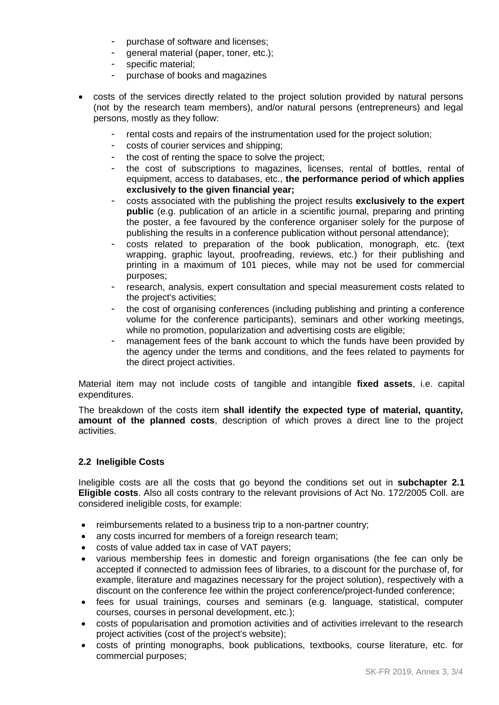- purchase of software and licenses;
- general material (paper, toner, etc.);
- specific material;
- purchase of books and magazines
- costs of the services directly related to the project solution provided by natural persons (not by the research team members), and/or natural persons (entrepreneurs) and legal persons, mostly as they follow:
	- rental costs and repairs of the instrumentation used for the project solution;
	- costs of courier services and shipping;
	- the cost of renting the space to solve the project:
	- the cost of subscriptions to magazines, licenses, rental of bottles, rental of equipment, access to databases, etc., **the performance period of which applies exclusively to the given financial year;**
	- costs associated with the publishing the project results **exclusively to the expert public** (e.g. publication of an article in a scientific journal, preparing and printing the poster, a fee favoured by the conference organiser solely for the purpose of publishing the results in a conference publication without personal attendance);
	- costs related to preparation of the book publication, monograph, etc. (text wrapping, graphic layout, proofreading, reviews, etc.) for their publishing and printing in a maximum of 101 pieces, while may not be used for commercial purposes;
	- research, analysis, expert consultation and special measurement costs related to the project's activities;
	- the cost of organising conferences (including publishing and printing a conference volume for the conference participants), seminars and other working meetings, while no promotion, popularization and advertising costs are eligible;
	- management fees of the bank account to which the funds have been provided by the agency under the terms and conditions, and the fees related to payments for the direct project activities.

Material item may not include costs of tangible and intangible **fixed assets**, i.e. capital expenditures.

The breakdown of the costs item **shall identify the expected type of material, quantity, amount of the planned costs**, description of which proves a direct line to the project activities.

# **2.2 Ineligible Costs**

Ineligible costs are all the costs that go beyond the conditions set out in **subchapter 2.1 Eligible costs**. Also all costs contrary to the relevant provisions of Act No. 172/2005 Coll. are considered ineligible costs, for example:

- reimbursements related to a business trip to a non-partner country;
- any costs incurred for members of a foreign research team;
- costs of value added tax in case of VAT payers;
- various membership fees in domestic and foreign organisations (the fee can only be accepted if connected to admission fees of libraries, to a discount for the purchase of, for example, literature and magazines necessary for the project solution), respectively with a discount on the conference fee within the project conference/project-funded conference;
- fees for usual trainings, courses and seminars (e.g. language, statistical, computer courses, courses in personal development, etc.);
- costs of popularisation and promotion activities and of activities irrelevant to the research project activities (cost of the project's website);
- costs of printing monographs, book publications, textbooks, course literature, etc. for commercial purposes;